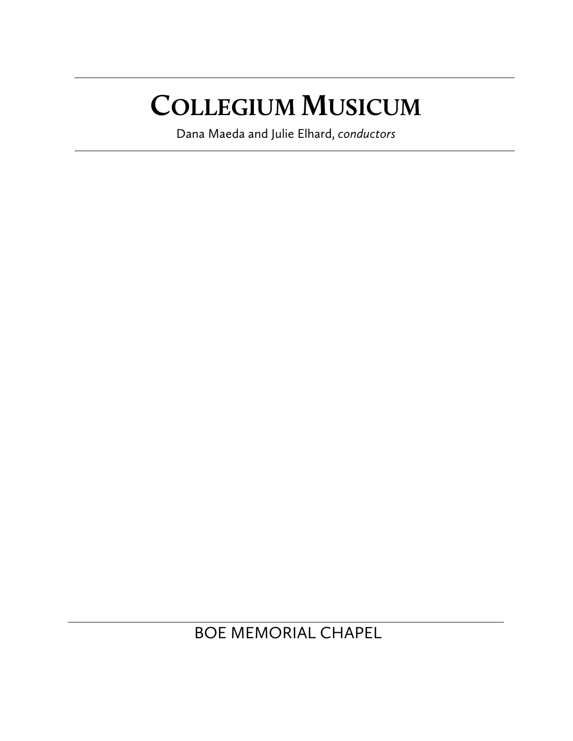# **COLLEGIUM MUSICUM**

Dana Maeda and Julie Elhard, *conductors*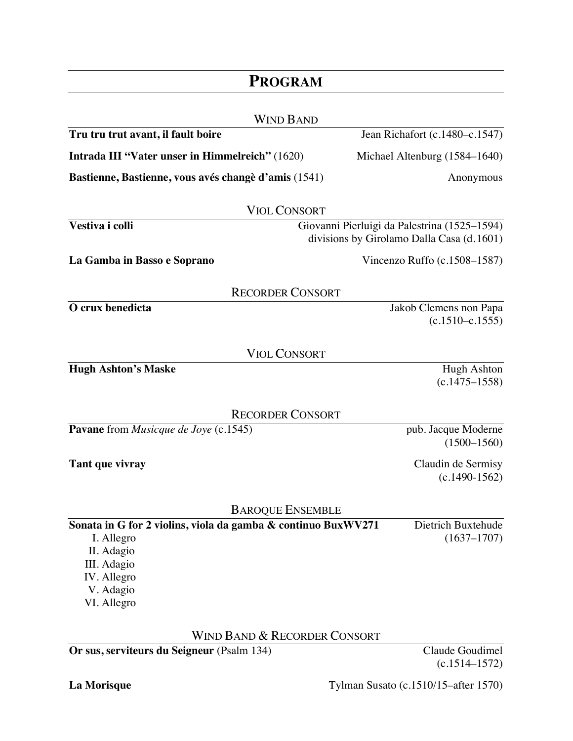| <b>PROGRAM</b>                                                                                                                                      |                                               |
|-----------------------------------------------------------------------------------------------------------------------------------------------------|-----------------------------------------------|
| <b>WIND BAND</b>                                                                                                                                    |                                               |
| Tru tru trut avant, il fault boire                                                                                                                  | Jean Richafort (c.1480–c.1547)                |
| Intrada III "Vater unser in Himmelreich" (1620)                                                                                                     | Michael Altenburg (1584–1640)                 |
| Bastienne, Bastienne, vous avés changè d'amis (1541)                                                                                                | Anonymous                                     |
| <b>VIOL CONSORT</b>                                                                                                                                 |                                               |
| Vestiva i colli<br>Giovanni Pierluigi da Palestrina (1525-1594)                                                                                     |                                               |
|                                                                                                                                                     | divisions by Girolamo Dalla Casa (d. 1601)    |
| La Gamba in Basso e Soprano                                                                                                                         | Vincenzo Ruffo $(c.1508-1587)$                |
| <b>RECORDER CONSORT</b>                                                                                                                             |                                               |
| O crux benedicta                                                                                                                                    | Jakob Clemens non Papa<br>$(c.1510 - c.1555)$ |
| <b>VIOL CONSORT</b>                                                                                                                                 |                                               |
| <b>Hugh Ashton's Maske</b>                                                                                                                          | Hugh Ashton<br>$(c.1475 - 1558)$              |
| <b>RECORDER CONSORT</b>                                                                                                                             |                                               |
| <b>Pavane</b> from <i>Musicque de Joye</i> (c.1545)                                                                                                 | pub. Jacque Moderne<br>$(1500 - 1560)$        |
| Tant que vivray                                                                                                                                     | Claudin de Sermisy<br>$(c.1490-1562)$         |
| <b>BAROQUE ENSEMBLE</b>                                                                                                                             |                                               |
| Sonata in G for 2 violins, viola da gamba & continuo BuxWV271<br>I. Allegro<br>II. Adagio<br>III. Adagio<br>IV. Allegro<br>V. Adagio<br>VI. Allegro | Dietrich Buxtehude<br>$(1637 - 1707)$         |

WIND BAND & RECORDER CONSORT

**Or sus, serviteurs du Seigneur** (Psalm 134) Claude Goudimel

(c.1514–1572)